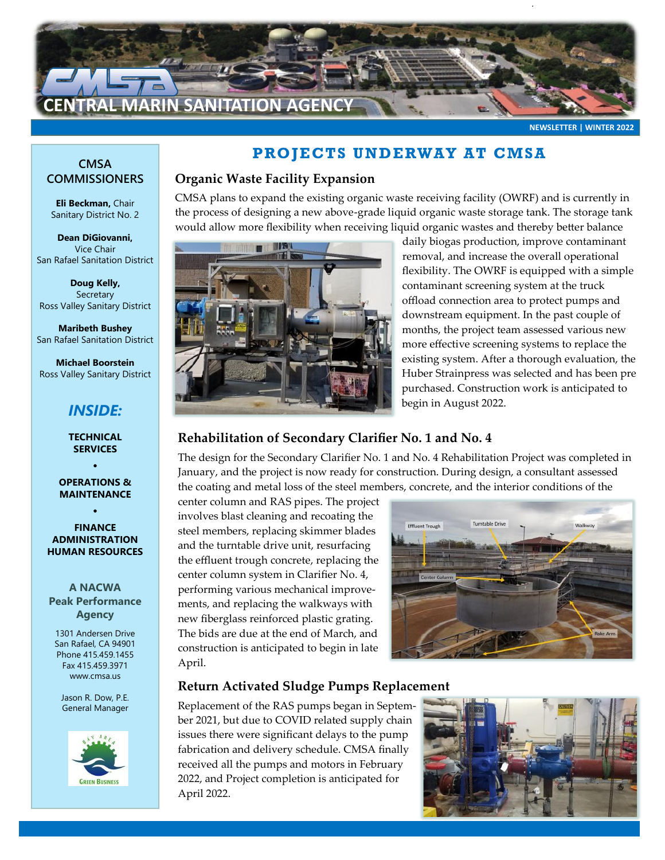

**NEWSLETTER | WINTER 2022**

#### **CMSA COMMISSIONERS**

**Eli Beckman,** Chair Sanitary District No. 2

**Dean DiGiovanni,**  Vice Chair San Rafael Sanitation District

**Doug Kelly, Secretary** Ross Valley Sanitary District

**Maribeth Bushey**  San Rafael Sanitation District

**Michael Boorstein** Ross Valley Sanitary District

# *INSIDE:*

**TECHNICAL SERVICES**

**OPERATIONS & MAINTENANCE**

 $\bullet$ 

 $\bullet$ 

#### **FINANCE ADMINISTRATION HUMAN RESOURCES**

**A NACWA Peak Performance Agency**

1301 Andersen Drive San Rafael, CA 94901 Phone 415.459.1455 Fax 415.459.3971 www.cmsa.us

Jason R. Dow, P.E. General Manager



## **PROJECTS UNDERWAY AT CMSA**

### **Organic Waste Facility Expansion**

CMSA plans to expand the existing organic waste receiving facility (OWRF) and is currently in the process of designing a new above-grade liquid organic waste storage tank. The storage tank would allow more flexibility when receiving liquid organic wastes and thereby better balance



daily biogas production, improve contaminant removal, and increase the overall operational flexibility. The OWRF is equipped with a simple contaminant screening system at the truck offload connection area to protect pumps and downstream equipment. In the past couple of months, the project team assessed various new more effective screening systems to replace the existing system. After a thorough evaluation, the Huber Strainpress was selected and has been pre purchased. Construction work is anticipated to begin in August 2022.

## **Rehabilitation of Secondary Clarifier No. 1 and No. 4**

The design for the Secondary Clarifier No. 1 and No. 4 Rehabilitation Project was completed in January, and the project is now ready for construction. During design, a consultant assessed the coating and metal loss of the steel members, concrete, and the interior conditions of the

center column and RAS pipes. The project involves blast cleaning and recoating the steel members, replacing skimmer blades and the turntable drive unit, resurfacing the effluent trough concrete, replacing the center column system in Clarifier No. 4, performing various mechanical improvements, and replacing the walkways with new fiberglass reinforced plastic grating. The bids are due at the end of March, and construction is anticipated to begin in late April.



## **Return Activated Sludge Pumps Replacement**

Replacement of the RAS pumps began in September 2021, but due to COVID related supply chain issues there were significant delays to the pump fabrication and delivery schedule. CMSA finally received all the pumps and motors in February 2022, and Project completion is anticipated for April 2022.

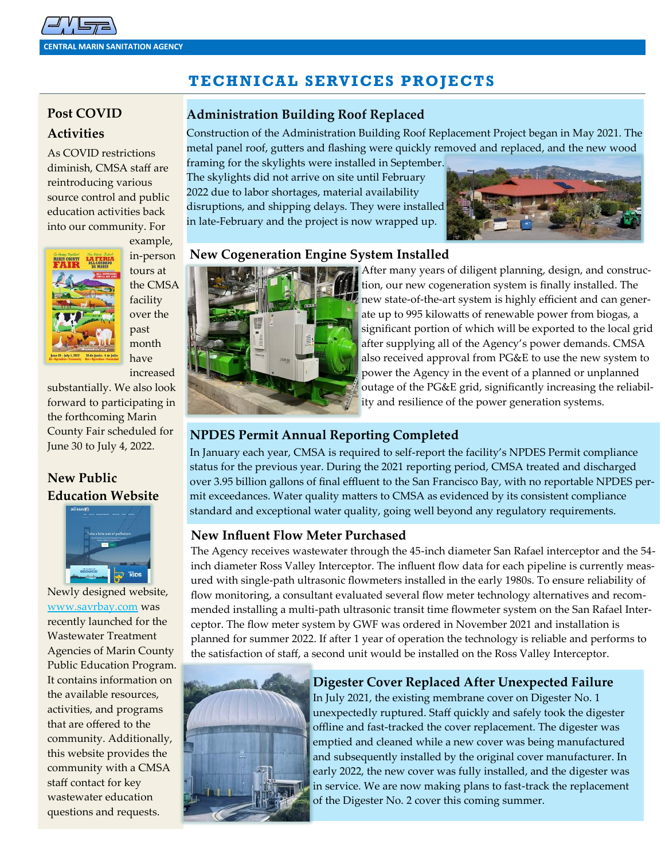# **TECHNICAL SERVICES PROJECTS**

# **Post COVID Activities**

As COVID restrictions diminish, CMSA staff are reintroducing various source control and public education activities back into our community. For



example, in-person tours at the CMSA facility over the past month have increased

substantially. We also look forward to participating in the forthcoming Marin County Fair scheduled for June 30 to July 4, 2022.

## **New Public Education Website**



Newly designed website, [www.savrbay.com](http://www.savrbay.com) was recently launched for the Wastewater Treatment Agencies of Marin County Public Education Program. It contains information on the available resources, activities, and programs that are offered to the community. Additionally, this website provides the community with a CMSA staff contact for key wastewater education questions and requests.

## **Administration Building Roof Replaced**

Construction of the Administration Building Roof Replacement Project began in May 2021. The metal panel roof, gutters and flashing were quickly removed and replaced, and the new wood

framing for the skylights were installed in September. The skylights did not arrive on site until February 2022 due to labor shortages, material availability disruptions, and shipping delays. They were installed in late-February and the project is now wrapped up.



### **New Cogeneration Engine System Installed**



After many years of diligent planning, design, and construction, our new cogeneration system is finally installed. The new state-of-the-art system is highly efficient and can generate up to 995 kilowatts of renewable power from biogas, a significant portion of which will be exported to the local grid after supplying all of the Agency's power demands. CMSA also received approval from PG&E to use the new system to power the Agency in the event of a planned or unplanned outage of the PG&E grid, significantly increasing the reliability and resilience of the power generation systems.

## **NPDES Permit Annual Reporting Completed**

In January each year, CMSA is required to self-report the facility's NPDES Permit compliance status for the previous year. During the 2021 reporting period, CMSA treated and discharged over 3.95 billion gallons of final effluent to the San Francisco Bay, with no reportable NPDES permit exceedances. Water quality matters to CMSA as evidenced by its consistent compliance standard and exceptional water quality, going well beyond any regulatory requirements.

### **New Influent Flow Meter Purchased**

The Agency receives wastewater through the 45-inch diameter San Rafael interceptor and the 54 inch diameter Ross Valley Interceptor. The influent flow data for each pipeline is currently measured with single-path ultrasonic flowmeters installed in the early 1980s. To ensure reliability of flow monitoring, a consultant evaluated several flow meter technology alternatives and recommended installing a multi-path ultrasonic transit time flowmeter system on the San Rafael Interceptor. The flow meter system by GWF was ordered in November 2021 and installation is planned for summer 2022. If after 1 year of operation the technology is reliable and performs to the satisfaction of staff, a second unit would be installed on the Ross Valley Interceptor.



### **Digester Cover Replaced After Unexpected Failure**

In July 2021, the existing membrane cover on Digester No. 1 unexpectedly ruptured. Staff quickly and safely took the digester offline and fast-tracked the cover replacement. The digester was emptied and cleaned while a new cover was being manufactured and subsequently installed by the original cover manufacturer. In early 2022, the new cover was fully installed, and the digester was in service. We are now making plans to fast-track the replacement of the Digester No. 2 cover this coming summer.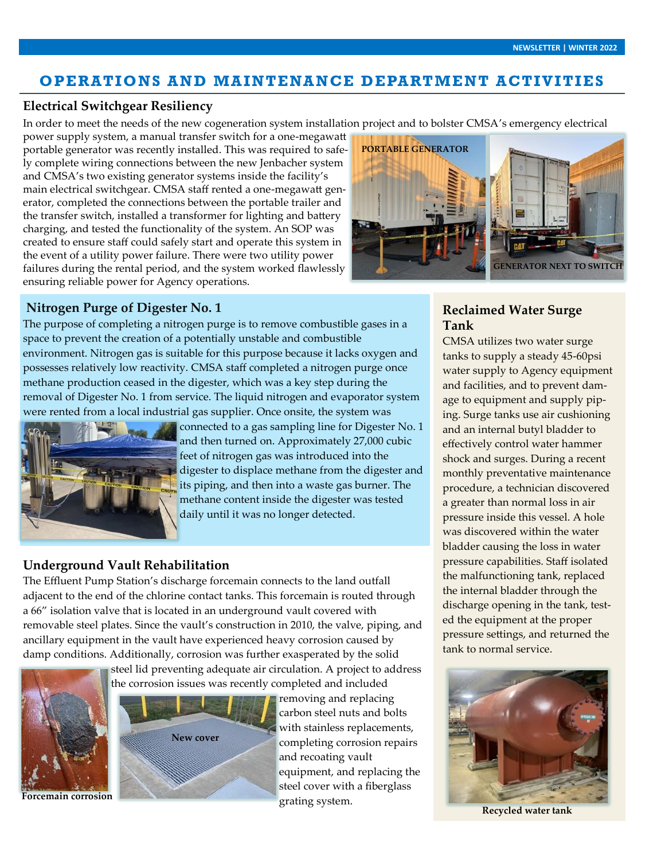## **OPERATIONS AND MAINTENANCE DEPARTMENT ACTIVITIES**

#### **Electrical Switchgear Resiliency**

In order to meet the needs of the new cogeneration system installation project and to bolster CMSA's emergency electrical

the transfer switch, installed a transformer for lighting and battery power supply system, a manual transfer switch for a one-megawatt portable generator was recently installed. This was required to safely complete wiring connections between the new Jenbacher system and CMSA's two existing generator systems inside the facility's main electrical switchgear. CMSA staff rented a one-megawatt generator, completed the connections between the portable trailer and charging, and tested the functionality of the system. An SOP was created to ensure staff could safely start and operate this system in the event of a utility power failure. There were two utility power failures during the rental period, and the system worked flawlessly ensuring reliable power for Agency operations.



#### **Nitrogen Purge of Digester No. 1**

The purpose of completing a nitrogen purge is to remove combustible gases in a space to prevent the creation of a potentially unstable and combustible environment. Nitrogen gas is suitable for this purpose because it lacks oxygen and possesses relatively low reactivity. CMSA staff completed a nitrogen purge once methane production ceased in the digester, which was a key step during the removal of Digester No. 1 from service. The liquid nitrogen and evaporator system were rented from a local industrial gas supplier. Once onsite, the system was



connected to a gas sampling line for Digester No. 1 and then turned on. Approximately 27,000 cubic feet of nitrogen gas was introduced into the digester to displace methane from the digester and its piping, and then into a waste gas burner. The methane content inside the digester was tested daily until it was no longer detected.

## **Underground Vault Rehabilitation**

The Effluent Pump Station's discharge forcemain connects to the land outfall adjacent to the end of the chlorine contact tanks. This forcemain is routed through a 66" isolation valve that is located in an underground vault covered with removable steel plates. Since the vault's construction in 2010, the valve, piping, and ancillary equipment in the vault have experienced heavy corrosion caused by damp conditions. Additionally, corrosion was further exasperated by the solid



steel lid preventing adequate air circulation. A project to address the corrosion issues was recently completed and included



removing and replacing carbon steel nuts and bolts with stainless replacements, completing corrosion repairs and recoating vault equipment, and replacing the steel cover with a fiberglass grating system.

## **Reclaimed Water Surge Tank**

CMSA utilizes two water surge tanks to supply a steady 45-60psi water supply to Agency equipment and facilities, and to prevent damage to equipment and supply piping. Surge tanks use air cushioning and an internal butyl bladder to effectively control water hammer shock and surges. During a recent monthly preventative maintenance procedure, a technician discovered a greater than normal loss in air pressure inside this vessel. A hole was discovered within the water bladder causing the loss in water pressure capabilities. Staff isolated the malfunctioning tank, replaced the internal bladder through the discharge opening in the tank, tested the equipment at the proper pressure settings, and returned the tank to normal service.



**Recycled water tank**

**Forcemain corrosion**